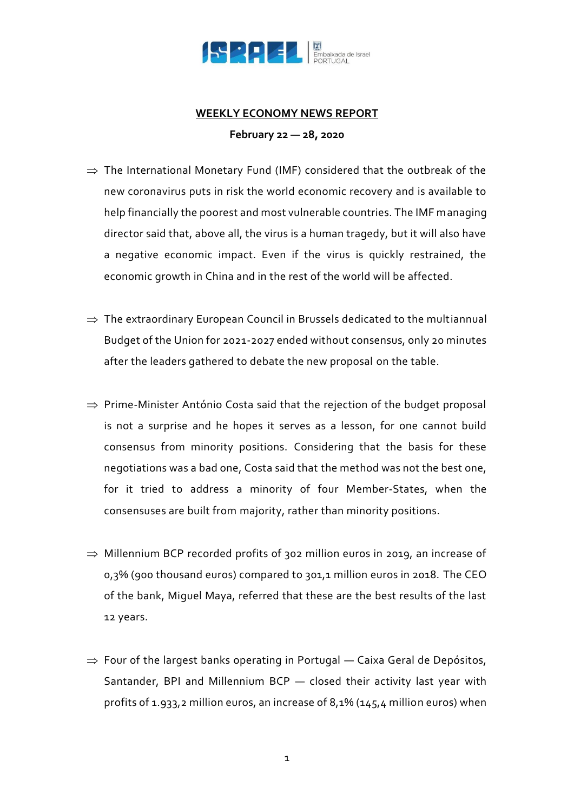

## **WEEKLY ECONOMY NEWS REPORT**

**February 22 — 28, 2020**

- $\Rightarrow$  The International Monetary Fund (IMF) considered that the outbreak of the new coronavirus puts in risk the world economic recovery and is available to help financially the poorest and most vulnerable countries. The IMF managing director said that, above all, the virus is a human tragedy, but it will also have a negative economic impact. Even if the virus is quickly restrained, the economic growth in China and in the rest of the world will be affected.
- $\Rightarrow$  The extraordinary European Council in Brussels dedicated to the multiannual Budget of the Union for 2021-2027 ended without consensus, only 20 minutes after the leaders gathered to debate the new proposal on the table.
- $\Rightarrow$  Prime-Minister António Costa said that the rejection of the budget proposal is not a surprise and he hopes it serves as a lesson, for one cannot build consensus from minority positions. Considering that the basis for these negotiations was a bad one, Costa said that the method was not the best one, for it tried to address a minority of four Member-States, when the consensuses are built from majority, rather than minority positions.
- $\Rightarrow$  Millennium BCP recorded profits of 302 million euros in 2019, an increase of 0,3% (900 thousand euros) compared to 301,1 million euros in 2018. The CEO of the bank, Miguel Maya, referred that these are the best results of the last 12 years.
- $\Rightarrow$  Four of the largest banks operating in Portugal Caixa Geral de Depósitos, Santander, BPI and Millennium BCP — closed their activity last year with profits of 1.933,2 million euros, an increase of 8,1% (145,4 million euros) when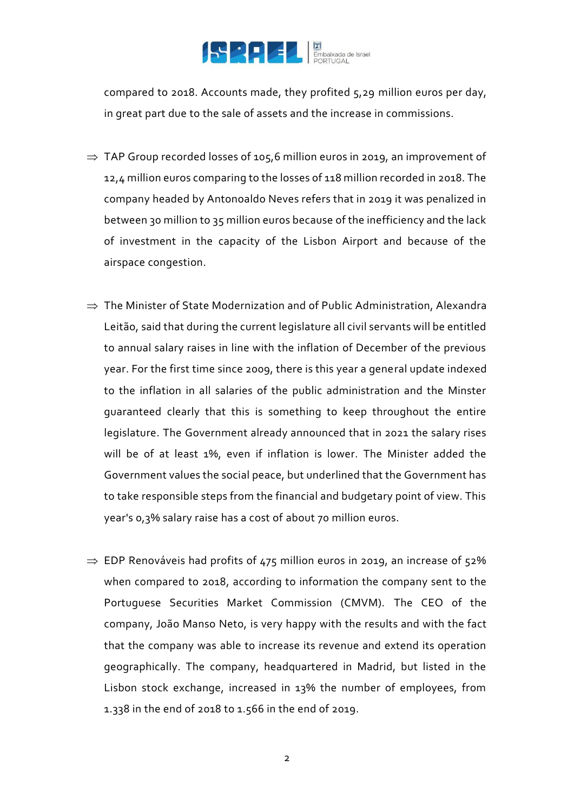

compared to 2018. Accounts made, they profited 5,29 million euros per day, in great part due to the sale of assets and the increase in commissions.

- $\Rightarrow$  TAP Group recorded losses of 105,6 million euros in 2019, an improvement of 12,4 million euros comparing to the losses of 118 million recorded in 2018. The company headed by Antonoaldo Neves refers that in 2019 it was penalized in between 30 million to 35 million euros because of the inefficiency and the lack of investment in the capacity of the Lisbon Airport and because of the airspace congestion.
- $\Rightarrow$  The Minister of State Modernization and of Public Administration, Alexandra Leitão, said that during the current legislature all civil servants will be entitled to annual salary raises in line with the inflation of December of the previous year. For the first time since 2009, there is this year a general update indexed to the inflation in all salaries of the public administration and the Minster guaranteed clearly that this is something to keep throughout the entire legislature. The Government already announced that in 2021 the salary rises will be of at least 1%, even if inflation is lower. The Minister added the Government values the social peace, but underlined that the Government has to take responsible steps from the financial and budgetary point of view. This year's 0,3% salary raise has a cost of about 70 million euros.
- $\Rightarrow$  EDP Renováveis had profits of 475 million euros in 2019, an increase of 52% when compared to 2018, according to information the company sent to the Portuguese Securities Market Commission (CMVM). The CEO of the company, João Manso Neto, is very happy with the results and with the fact that the company was able to increase its revenue and extend its operation geographically. The company, headquartered in Madrid, but listed in the Lisbon stock exchange, increased in 13% the number of employees, from 1.338 in the end of 2018 to 1.566 in the end of 2019.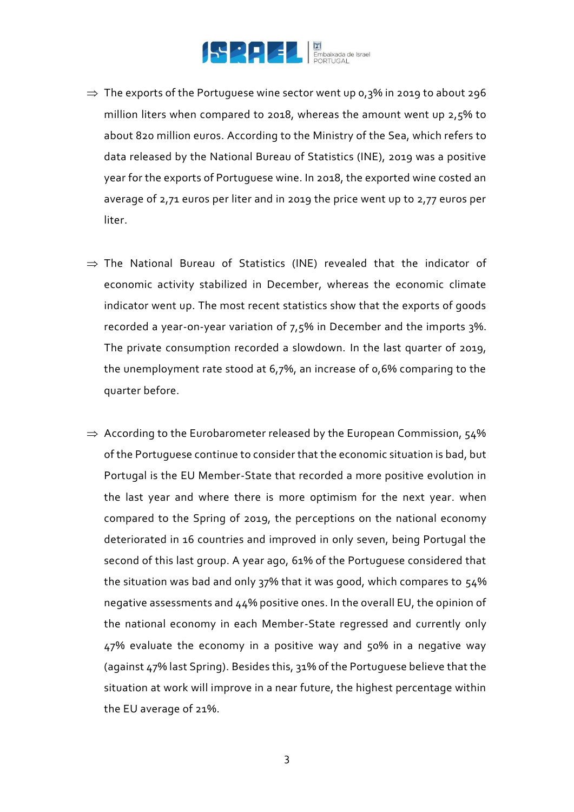

- $\Rightarrow$  The exports of the Portuguese wine sector went up 0,3% in 2019 to about 296 million liters when compared to 2018, whereas the amount went up 2,5% to about 820 million euros. According to the Ministry of the Sea, which refers to data released by the National Bureau of Statistics (INE), 2019 was a positive year for the exports of Portuguese wine. In 2018, the exported wine costed an average of 2,71 euros per liter and in 2019 the price went up to 2,77 euros per liter.
- $\Rightarrow$  The National Bureau of Statistics (INE) revealed that the indicator of economic activity stabilized in December, whereas the economic climate indicator went up. The most recent statistics show that the exports of goods recorded a year-on-year variation of 7,5% in December and the imports 3%. The private consumption recorded a slowdown. In the last quarter of 2019, the unemployment rate stood at 6,7%, an increase of 0,6% comparing to the quarter before.
- $\Rightarrow$  According to the Eurobarometer released by the European Commission, 54% of the Portuguese continue to consider that the economic situation is bad, but Portugal is the EU Member-State that recorded a more positive evolution in the last year and where there is more optimism for the next year. when compared to the Spring of 2019, the perceptions on the national economy deteriorated in 16 countries and improved in only seven, being Portugal the second of this last group. A year ago, 61% of the Portuguese considered that the situation was bad and only 37% that it was good, which compares to 54% negative assessments and 44% positive ones. In the overall EU, the opinion of the national economy in each Member-State regressed and currently only 47% evaluate the economy in a positive way and 50% in a negative way (against 47% last Spring). Besides this, 31% of the Portuguese believe that the situation at work will improve in a near future, the highest percentage within the EU average of 21%.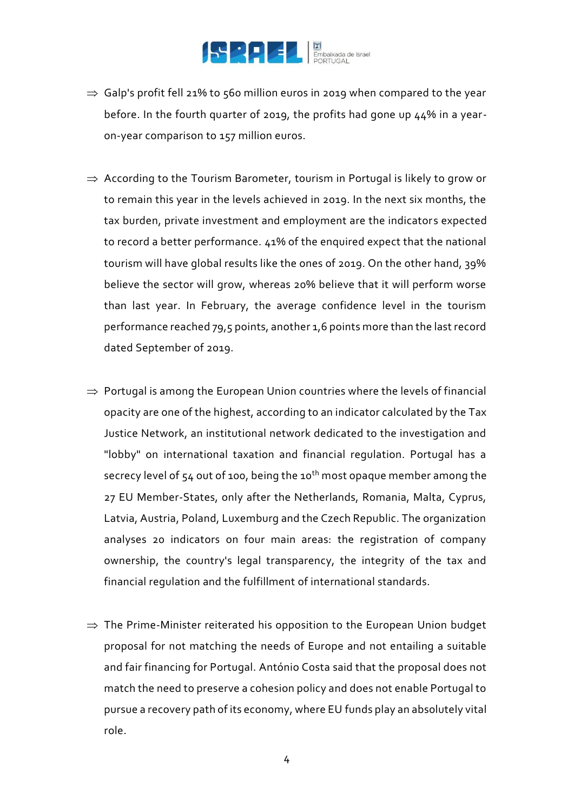

- $\Rightarrow$  Galp's profit fell 21% to 560 million euros in 2019 when compared to the year before. In the fourth quarter of 2019, the profits had gone up 44% in a yearon-year comparison to 157 million euros.
- $\Rightarrow$  According to the Tourism Barometer, tourism in Portugal is likely to grow or to remain this year in the levels achieved in 2019. In the next six months, the tax burden, private investment and employment are the indicators expected to record a better performance. 41% of the enquired expect that the national tourism will have global results like the ones of 2019. On the other hand, 39% believe the sector will grow, whereas 20% believe that it will perform worse than last year. In February, the average confidence level in the tourism performance reached 79,5 points, another 1,6 points more than the last record dated September of 2019.
- $\Rightarrow$  Portugal is among the European Union countries where the levels of financial opacity are one of the highest, according to an indicator calculated by the Tax Justice Network, an institutional network dedicated to the investigation and "lobby" on international taxation and financial regulation. Portugal has a secrecy level of  $54$  out of 100, being the 10<sup>th</sup> most opaque member among the 27 EU Member-States, only after the Netherlands, Romania, Malta, Cyprus, Latvia, Austria, Poland, Luxemburg and the Czech Republic. The organization analyses 20 indicators on four main areas: the registration of company ownership, the country's legal transparency, the integrity of the tax and financial regulation and the fulfillment of international standards.
- $\Rightarrow$  The Prime-Minister reiterated his opposition to the European Union budget proposal for not matching the needs of Europe and not entailing a suitable and fair financing for Portugal. António Costa said that the proposal does not match the need to preserve a cohesion policy and does not enable Portugal to pursue a recovery path of its economy, where EU funds play an absolutely vital role.